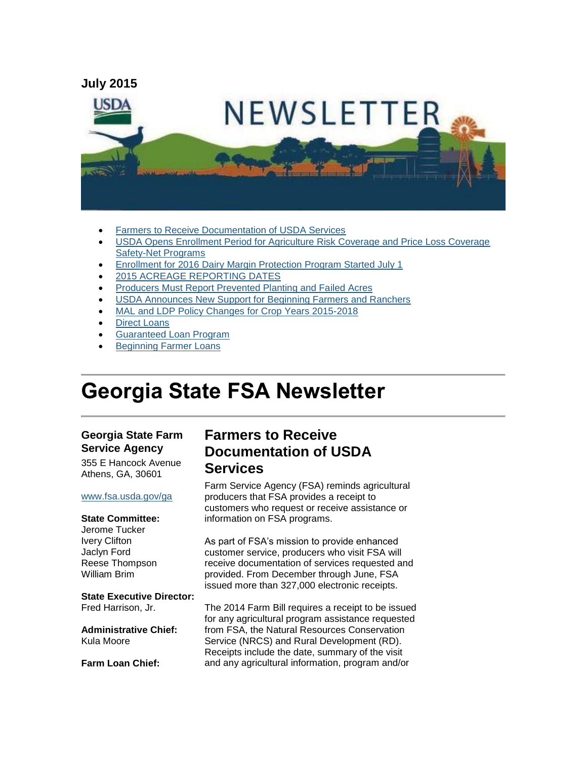

- [Farmers to Receive Documentation of USDA Services](#page-0-0)
- [USDA Opens Enrollment Period for Agriculture Risk Coverage and Price Loss Coverage](#page-1-0)  [Safety-Net Programs](#page-1-0)
- [Enrollment for 2016 Dairy Margin Protection Program Started July 1](#page-1-1)
- [2015 ACREAGE REPORTING DATES](#page-2-0)
- [Producers Must Report Prevented Planting and Failed Acres](#page-3-0)
- [USDA Announces New Support for Beginning Farmers and Ranchers](#page-3-1)
- [MAL and LDP Policy Changes for Crop Years 2015-2018](#page-4-0)
- [Direct Loans](#page-5-0)
- [Guaranteed Loan Program](#page-5-1)
- [Beginning Farmer Loans](#page-6-0)

# **Georgia State FSA Newsletter**

#### **Georgia State Farm Service Agency**

355 E Hancock Avenue Athens, GA, 30601

#### [www.fsa.usda.gov/ga](http://www.fsa.usda.gov/ga)

#### **State Committee:**

Jerome Tucker Ivery Clifton Jaclyn Ford Reese Thompson William Brim

#### **State Executive Director:**

Fred Harrison, Jr.

**Administrative Chief:** Kula Moore

**Farm Loan Chief:**

# <span id="page-0-0"></span>**Farmers to Receive Documentation of USDA Services**

Farm Service Agency (FSA) reminds agricultural producers that FSA provides a receipt to customers who request or receive assistance or information on FSA programs.

As part of FSA's mission to provide enhanced customer service, producers who visit FSA will receive documentation of services requested and provided. From December through June, FSA issued more than 327,000 electronic receipts.

The 2014 Farm Bill requires a receipt to be issued for any agricultural program assistance requested from FSA, the Natural Resources Conservation Service (NRCS) and Rural Development (RD). Receipts include the date, summary of the visit and any agricultural information, program and/or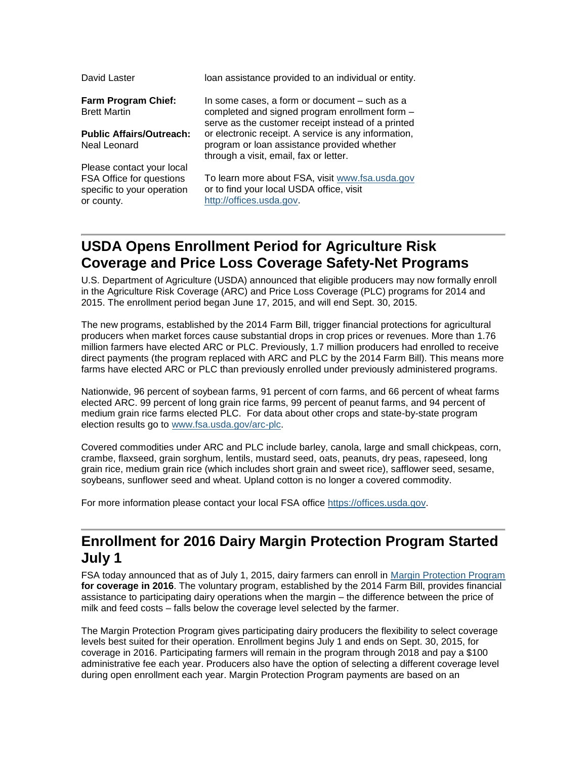| David Laster                                                                                      | loan assistance provided to an individual or entity.                                                                                                  |
|---------------------------------------------------------------------------------------------------|-------------------------------------------------------------------------------------------------------------------------------------------------------|
| <b>Farm Program Chief:</b><br><b>Brett Martin</b>                                                 | In some cases, a form or document – such as a<br>completed and signed program enrollment form -<br>serve as the customer receipt instead of a printed |
| <b>Public Affairs/Outreach:</b><br>Neal Leonard                                                   | or electronic receipt. A service is any information,<br>program or loan assistance provided whether<br>through a visit, email, fax or letter.         |
| Please contact your local<br>FSA Office for questions<br>specific to your operation<br>or county. | To learn more about FSA, visit www.fsa.usda.gov<br>or to find your local USDA office, visit<br>http://offices.usda.gov.                               |

# <span id="page-1-0"></span>**USDA Opens Enrollment Period for Agriculture Risk Coverage and Price Loss Coverage Safety-Net Programs**

U.S. Department of Agriculture (USDA) announced that eligible producers may now formally enroll in the Agriculture Risk Coverage (ARC) and Price Loss Coverage (PLC) programs for 2014 and 2015. The enrollment period began June 17, 2015, and will end Sept. 30, 2015.

The new programs, established by the 2014 Farm Bill, trigger financial protections for agricultural producers when market forces cause substantial drops in crop prices or revenues. More than 1.76 million farmers have elected ARC or PLC. Previously, 1.7 million producers had enrolled to receive direct payments (the program replaced with ARC and PLC by the 2014 Farm Bill). This means more farms have elected ARC or PLC than previously enrolled under previously administered programs.

Nationwide, 96 percent of soybean farms, 91 percent of corn farms, and 66 percent of wheat farms elected ARC. 99 percent of long grain rice farms, 99 percent of peanut farms, and 94 percent of medium grain rice farms elected PLC. For data about other crops and state-by-state program election results go to [www.fsa.usda.gov/arc-plc.](http://www.fsa.usda.gov/arc-plc)

Covered commodities under ARC and PLC include barley, canola, large and small chickpeas, corn, crambe, flaxseed, grain sorghum, lentils, mustard seed, oats, peanuts, dry peas, rapeseed, long grain rice, medium grain rice (which includes short grain and sweet rice), safflower seed, sesame, soybeans, sunflower seed and wheat. Upland cotton is no longer a covered commodity.

For more information please contact your local FSA office [https://offices.usda.gov.](https://offices.usda.gov/)

# <span id="page-1-1"></span>**Enrollment for 2016 Dairy Margin Protection Program Started July 1**

FSA today announced that as of July 1, 2015, dairy farmers can enroll in [Margin Protection Program](http://www.fsa.usda.gov/FSA/webapp?area=home&subject=dmpp&topic=landing) **for coverage in 2016**. The voluntary program, established by the 2014 Farm Bill, provides financial assistance to participating dairy operations when the margin – the difference between the price of milk and feed costs – falls below the coverage level selected by the farmer.

The Margin Protection Program gives participating dairy producers the flexibility to select coverage levels best suited for their operation. Enrollment begins July 1 and ends on Sept. 30, 2015, for coverage in 2016. Participating farmers will remain in the program through 2018 and pay a \$100 administrative fee each year. Producers also have the option of selecting a different coverage level during open enrollment each year. Margin Protection Program payments are based on an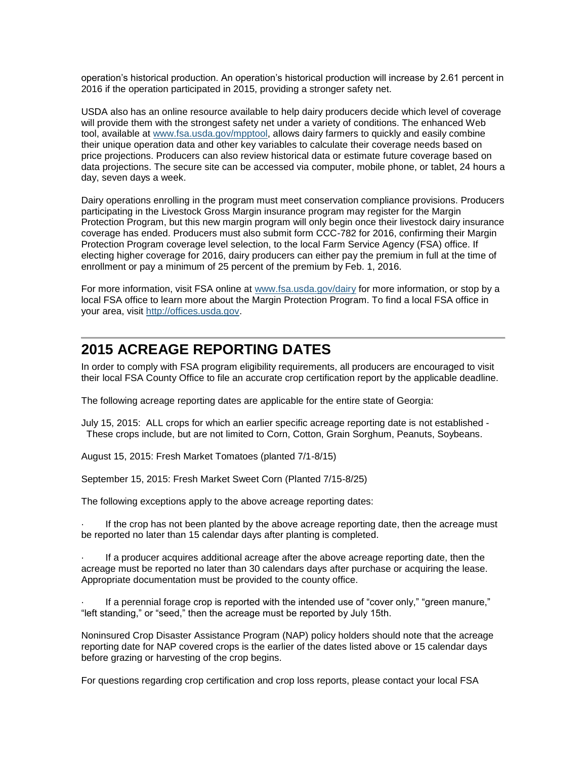operation's historical production. An operation's historical production will increase by 2.61 percent in 2016 if the operation participated in 2015, providing a stronger safety net.

USDA also has an online resource available to help dairy producers decide which level of coverage will provide them with the strongest safety net under a variety of conditions. The enhanced Web tool, available at [www.fsa.usda.gov/mpptool,](http://www.fsa.usda.gov/mpptool) allows dairy farmers to quickly and easily combine their unique operation data and other key variables to calculate their coverage needs based on price projections. Producers can also review historical data or estimate future coverage based on data projections. The secure site can be accessed via computer, mobile phone, or tablet, 24 hours a day, seven days a week.

Dairy operations enrolling in the program must meet conservation compliance provisions. Producers participating in the Livestock Gross Margin insurance program may register for the Margin Protection Program, but this new margin program will only begin once their livestock dairy insurance coverage has ended. Producers must also submit form CCC-782 for 2016, confirming their Margin Protection Program coverage level selection, to the local Farm Service Agency (FSA) office. If electing higher coverage for 2016, dairy producers can either pay the premium in full at the time of enrollment or pay a minimum of 25 percent of the premium by Feb. 1, 2016.

For more information, visit FSA online at [www.fsa.usda.gov/dairy](http://www.fsa.usda.gov/dairy) for more information, or stop by a local FSA office to learn more about the Margin Protection Program. To find a local FSA office in your area, visit [http://offices.usda.gov.](http://offices.usda.gov/)

# <span id="page-2-0"></span>**2015 ACREAGE REPORTING DATES**

In order to comply with FSA program eligibility requirements, all producers are encouraged to visit their local FSA County Office to file an accurate crop certification report by the applicable deadline.

The following acreage reporting dates are applicable for the entire state of Georgia:

July 15, 2015: ALL crops for which an earlier specific acreage reporting date is not established - These crops include, but are not limited to Corn, Cotton, Grain Sorghum, Peanuts, Soybeans.

August 15, 2015: Fresh Market Tomatoes (planted 7/1-8/15)

September 15, 2015: Fresh Market Sweet Corn (Planted 7/15-8/25)

The following exceptions apply to the above acreage reporting dates:

If the crop has not been planted by the above acreage reporting date, then the acreage must be reported no later than 15 calendar days after planting is completed.

If a producer acquires additional acreage after the above acreage reporting date, then the acreage must be reported no later than 30 calendars days after purchase or acquiring the lease. Appropriate documentation must be provided to the county office.

If a perennial forage crop is reported with the intended use of "cover only," "green manure," "left standing," or "seed," then the acreage must be reported by July 15th.

Noninsured Crop Disaster Assistance Program (NAP) policy holders should note that the acreage reporting date for NAP covered crops is the earlier of the dates listed above or 15 calendar days before grazing or harvesting of the crop begins.

For questions regarding crop certification and crop loss reports, please contact your local FSA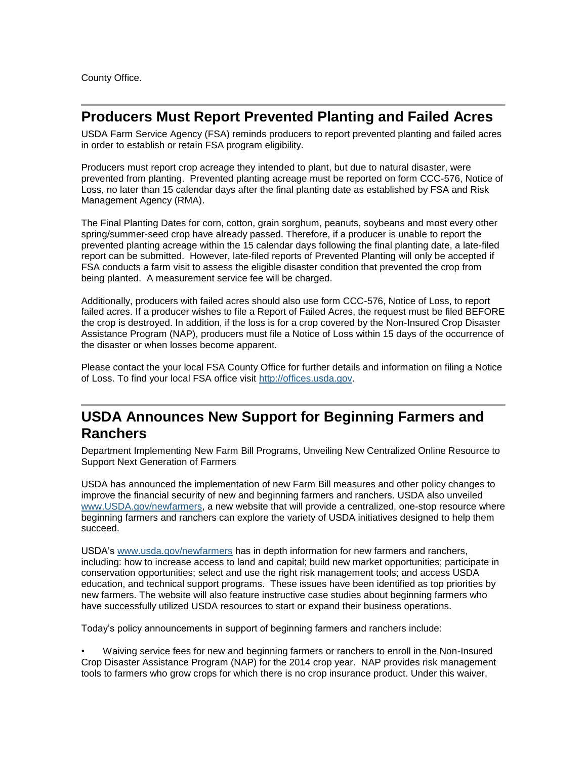County Office.

#### <span id="page-3-0"></span>**Producers Must Report Prevented Planting and Failed Acres**

USDA Farm Service Agency (FSA) reminds producers to report prevented planting and failed acres in order to establish or retain FSA program eligibility.

Producers must report crop acreage they intended to plant, but due to natural disaster, were prevented from planting. Prevented planting acreage must be reported on form CCC-576, Notice of Loss, no later than 15 calendar days after the final planting date as established by FSA and Risk Management Agency (RMA).

The Final Planting Dates for corn, cotton, grain sorghum, peanuts, soybeans and most every other spring/summer-seed crop have already passed. Therefore, if a producer is unable to report the prevented planting acreage within the 15 calendar days following the final planting date, a late-filed report can be submitted. However, late-filed reports of Prevented Planting will only be accepted if FSA conducts a farm visit to assess the eligible disaster condition that prevented the crop from being planted. A measurement service fee will be charged.

Additionally, producers with failed acres should also use form CCC-576, Notice of Loss, to report failed acres. If a producer wishes to file a Report of Failed Acres, the request must be filed BEFORE the crop is destroyed. In addition, if the loss is for a crop covered by the Non-Insured Crop Disaster Assistance Program (NAP), producers must file a Notice of Loss within 15 days of the occurrence of the disaster or when losses become apparent.

Please contact the your local FSA County Office for further details and information on filing a Notice of Loss. To find your local FSA office visit [http://offices.usda.gov.](http://offices.usda.gov/)

# <span id="page-3-1"></span>**USDA Announces New Support for Beginning Farmers and Ranchers**

Department Implementing New Farm Bill Programs, Unveiling New Centralized Online Resource to Support Next Generation of Farmers

USDA has announced the implementation of new Farm Bill measures and other policy changes to improve the financial security of new and beginning farmers and ranchers. USDA also unveiled [www.USDA.gov/newfarmers,](http://www.usda.gov/wps/portal/usda/newfarmers?navid=newfarmers) a new website that will provide a centralized, one-stop resource where beginning farmers and ranchers can explore the variety of USDA initiatives designed to help them succeed.

USDA's [www.usda.gov/newfarmers](http://www.usda.gov/newfarmers) has in depth information for new farmers and ranchers, including: how to increase access to land and capital; build new market opportunities; participate in conservation opportunities; select and use the right risk management tools; and access USDA education, and technical support programs. These issues have been identified as top priorities by new farmers. The website will also feature instructive case studies about beginning farmers who have successfully utilized USDA resources to start or expand their business operations.

Today's policy announcements in support of beginning farmers and ranchers include:

• Waiving service fees for new and beginning farmers or ranchers to enroll in the Non-Insured Crop Disaster Assistance Program (NAP) for the 2014 crop year. NAP provides risk management tools to farmers who grow crops for which there is no crop insurance product. Under this waiver,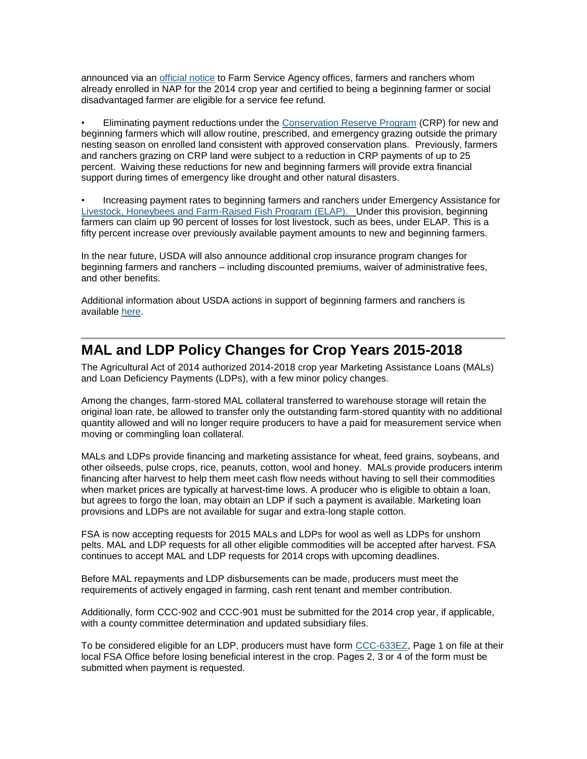announced via an [official](http://www.fsa.usda.gov/Internet/FSA_Notice/nap_162.pdf) notice to Farm Service Agency offices, farmers and ranchers whom already enrolled in NAP for the 2014 crop year and certified to being a beginning farmer or social disadvantaged farmer are eligible for a service fee refund.

• Eliminating payment reductions under the [Conservation Reserve Program](http://www.fsa.usda.gov/FSA/webapp?area=home&subject=copr&topic=crp) (CRP) for new and beginning farmers which will allow routine, prescribed, and emergency grazing outside the primary nesting season on enrolled land consistent with approved conservation plans. Previously, farmers and ranchers grazing on CRP land were subject to a reduction in CRP payments of up to 25 percent. Waiving these reductions for new and beginning farmers will provide extra financial support during times of emergency like drought and other natural disasters.

• Increasing payment rates to beginning farmers and ranchers under Emergency Assistance for [Livestock, Honeybees and Farm-Raised Fish Program \(ELAP\). U](http://www.fsa.usda.gov/Internet/FSA_File/elap_honeybee_fact_sht.pdf)nder this provision, beginning farmers can claim up 90 percent of losses for lost livestock, such as bees, under ELAP. This is a fifty percent increase over previously available payment amounts to new and beginning farmers.

In the near future, USDA will also announce additional crop insurance program changes for beginning farmers and ranchers – including discounted premiums, waiver of administrative fees, and other benefits.

Additional information about USDA actions in support of beginning farmers and ranchers is available [here.](http://www.usda.gov/wps/portal/usda/usdahome?contentidonly=true&contentid=usda-results-beginning-farmers.html)

#### <span id="page-4-0"></span>**MAL and LDP Policy Changes for Crop Years 2015-2018**

The Agricultural Act of 2014 authorized 2014-2018 crop year Marketing Assistance Loans (MALs) and Loan Deficiency Payments (LDPs), with a few minor policy changes.

Among the changes, farm-stored MAL collateral transferred to warehouse storage will retain the original loan rate, be allowed to transfer only the outstanding farm-stored quantity with no additional quantity allowed and will no longer require producers to have a paid for measurement service when moving or commingling loan collateral.

MALs and LDPs provide financing and marketing assistance for wheat, feed grains, soybeans, and other oilseeds, pulse crops, rice, peanuts, cotton, wool and honey. MALs provide producers interim financing after harvest to help them meet cash flow needs without having to sell their commodities when market prices are typically at harvest-time lows. A producer who is eligible to obtain a loan, but agrees to forgo the loan, may obtain an LDP if such a payment is available. Marketing loan provisions and LDPs are not available for sugar and extra-long staple cotton.

FSA is now accepting requests for 2015 MALs and LDPs for wool as well as LDPs for unshorn pelts. MAL and LDP requests for all other eligible commodities will be accepted after harvest. FSA continues to accept MAL and LDP requests for 2014 crops with upcoming deadlines.

Before MAL repayments and LDP disbursements can be made, producers must meet the requirements of actively engaged in farming, cash rent tenant and member contribution.

Additionally, form CCC-902 and CCC-901 must be submitted for the 2014 crop year, if applicable, with a county committee determination and updated subsidiary files.

To be considered eligible for an LDP, producers must have form [CCC-633EZ,](http://forms.sc.egov.usda.gov/efcommon/eFileServices/eFormsAdmin/CCC0633EZ_140328V03.pdf) Page 1 on file at their local FSA Office before losing beneficial interest in the crop. Pages 2, 3 or 4 of the form must be submitted when payment is requested.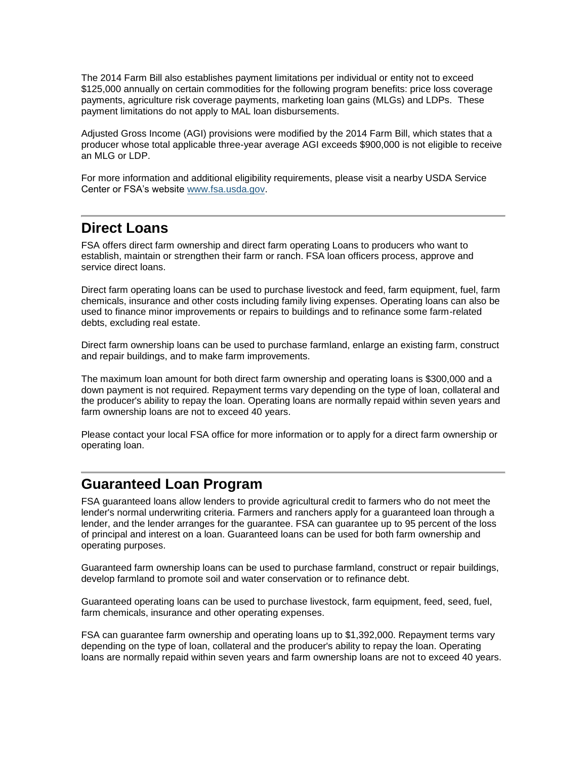The 2014 Farm Bill also establishes payment limitations per individual or entity not to exceed \$125,000 annually on certain commodities for the following program benefits: price loss coverage payments, agriculture risk coverage payments, marketing loan gains (MLGs) and LDPs. These payment limitations do not apply to MAL loan disbursements.

Adjusted Gross Income (AGI) provisions were modified by the 2014 Farm Bill, which states that a producer whose total applicable three-year average AGI exceeds \$900,000 is not eligible to receive an MLG or LDP.

For more information and additional eligibility requirements, please visit a nearby USDA Service Center or FSA's website [www.fsa.usda.gov.](http://www.fsa.usda.gov/)

# <span id="page-5-0"></span>**Direct Loans**

FSA offers direct farm ownership and direct farm operating Loans to producers who want to establish, maintain or strengthen their farm or ranch. FSA loan officers process, approve and service direct loans.

Direct farm operating loans can be used to purchase livestock and feed, farm equipment, fuel, farm chemicals, insurance and other costs including family living expenses. Operating loans can also be used to finance minor improvements or repairs to buildings and to refinance some farm-related debts, excluding real estate.

Direct farm ownership loans can be used to purchase farmland, enlarge an existing farm, construct and repair buildings, and to make farm improvements.

The maximum loan amount for both direct farm ownership and operating loans is \$300,000 and a down payment is not required. Repayment terms vary depending on the type of loan, collateral and the producer's ability to repay the loan. Operating loans are normally repaid within seven years and farm ownership loans are not to exceed 40 years.

Please contact your local FSA office for more information or to apply for a direct farm ownership or operating loan.

#### <span id="page-5-1"></span>**Guaranteed Loan Program**

FSA guaranteed loans allow lenders to provide agricultural credit to farmers who do not meet the lender's normal underwriting criteria. Farmers and ranchers apply for a guaranteed loan through a lender, and the lender arranges for the guarantee. FSA can guarantee up to 95 percent of the loss of principal and interest on a loan. Guaranteed loans can be used for both farm ownership and operating purposes.

Guaranteed farm ownership loans can be used to purchase farmland, construct or repair buildings, develop farmland to promote soil and water conservation or to refinance debt.

Guaranteed operating loans can be used to purchase livestock, farm equipment, feed, seed, fuel, farm chemicals, insurance and other operating expenses.

FSA can guarantee farm ownership and operating loans up to \$1,392,000. Repayment terms vary depending on the type of loan, collateral and the producer's ability to repay the loan. Operating loans are normally repaid within seven years and farm ownership loans are not to exceed 40 years.